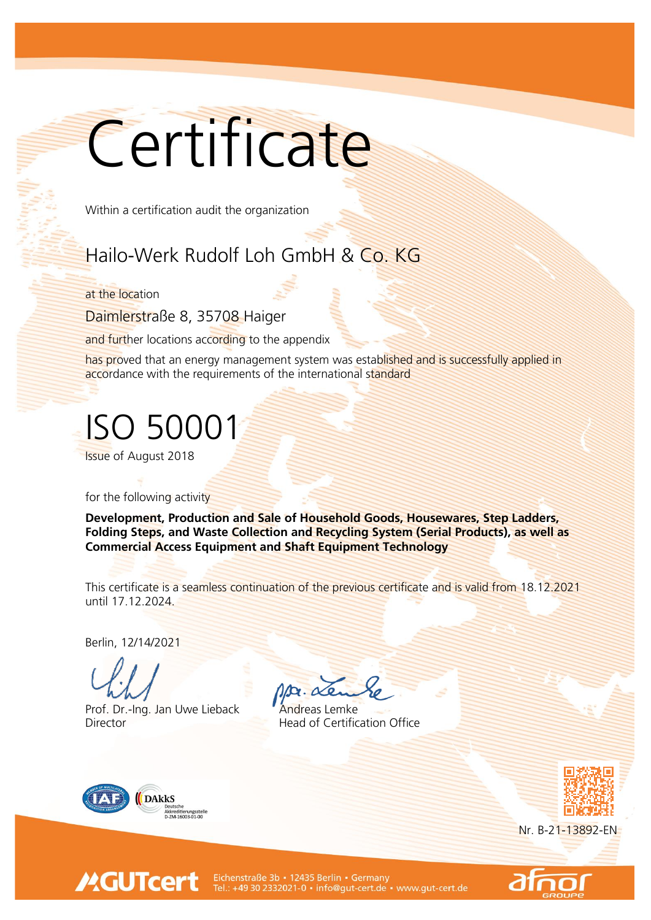## Certificate

Within a certification audit the organization

## Hailo-Werk Rudolf Loh GmbH & Co. KG

at the location

Daimlerstraße 8, 35708 Haiger

and further locations according to the appendix

has proved that an energy management system was established and is successfully applied in accordance with the requirements of the international standard

ISO 50001

Issue of August 2018

for the following activity

Development, Production and Sale of Household Goods, Housewares, Step Ladders, Folding Steps, and Waste Collection and Recycling System (Serial Products), as well as Commercial Access Equipment and Shaft Equipment Technology

This certificate is a seamless continuation of the previous certificate and is valid from 18.12.2021 until 17.12.2024.

Berlin, 12/14/2021

Prof. Dr.-Ing. Jan Uwe Lieback **Andreas Lemke** Director **Head of Certification Office** 



**MGUTcert** 



Nr. B-21-13892-EN



Eichenstraße 3b • 12435 Berlin • Germany<br>Tel.: +49 30 2332021-0 • info@gut-cert.de • www.gut-cert.de